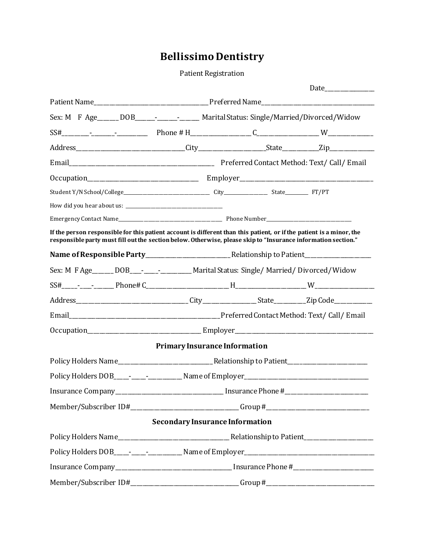# **Bellissimo Dentistry**

Patient Registration

|                                                                                                      |  |  | Date <u>Date</u>                                                                                                                                                                                                                                                                                                                                                                                                                                                                                         |  |  |
|------------------------------------------------------------------------------------------------------|--|--|----------------------------------------------------------------------------------------------------------------------------------------------------------------------------------------------------------------------------------------------------------------------------------------------------------------------------------------------------------------------------------------------------------------------------------------------------------------------------------------------------------|--|--|
|                                                                                                      |  |  |                                                                                                                                                                                                                                                                                                                                                                                                                                                                                                          |  |  |
| Sex: M F Age______ DOB_____- ______- Marital Status: Single/Married/Divorced/Widow                   |  |  |                                                                                                                                                                                                                                                                                                                                                                                                                                                                                                          |  |  |
|                                                                                                      |  |  |                                                                                                                                                                                                                                                                                                                                                                                                                                                                                                          |  |  |
|                                                                                                      |  |  |                                                                                                                                                                                                                                                                                                                                                                                                                                                                                                          |  |  |
|                                                                                                      |  |  |                                                                                                                                                                                                                                                                                                                                                                                                                                                                                                          |  |  |
|                                                                                                      |  |  |                                                                                                                                                                                                                                                                                                                                                                                                                                                                                                          |  |  |
|                                                                                                      |  |  |                                                                                                                                                                                                                                                                                                                                                                                                                                                                                                          |  |  |
|                                                                                                      |  |  |                                                                                                                                                                                                                                                                                                                                                                                                                                                                                                          |  |  |
|                                                                                                      |  |  |                                                                                                                                                                                                                                                                                                                                                                                                                                                                                                          |  |  |
|                                                                                                      |  |  |                                                                                                                                                                                                                                                                                                                                                                                                                                                                                                          |  |  |
|                                                                                                      |  |  |                                                                                                                                                                                                                                                                                                                                                                                                                                                                                                          |  |  |
|                                                                                                      |  |  |                                                                                                                                                                                                                                                                                                                                                                                                                                                                                                          |  |  |
|                                                                                                      |  |  |                                                                                                                                                                                                                                                                                                                                                                                                                                                                                                          |  |  |
|                                                                                                      |  |  |                                                                                                                                                                                                                                                                                                                                                                                                                                                                                                          |  |  |
|                                                                                                      |  |  |                                                                                                                                                                                                                                                                                                                                                                                                                                                                                                          |  |  |
|                                                                                                      |  |  |                                                                                                                                                                                                                                                                                                                                                                                                                                                                                                          |  |  |
|                                                                                                      |  |  |                                                                                                                                                                                                                                                                                                                                                                                                                                                                                                          |  |  |
|                                                                                                      |  |  |                                                                                                                                                                                                                                                                                                                                                                                                                                                                                                          |  |  |
| Policy Holders DOB_____-________________Name of Employer_________________________                    |  |  |                                                                                                                                                                                                                                                                                                                                                                                                                                                                                                          |  |  |
| Insurance Company_________________________________ Insurance Phone #________________________________ |  |  |                                                                                                                                                                                                                                                                                                                                                                                                                                                                                                          |  |  |
| Member/Subscriber ID#______________________________Group #______________________                     |  |  |                                                                                                                                                                                                                                                                                                                                                                                                                                                                                                          |  |  |
|                                                                                                      |  |  |                                                                                                                                                                                                                                                                                                                                                                                                                                                                                                          |  |  |
|                                                                                                      |  |  |                                                                                                                                                                                                                                                                                                                                                                                                                                                                                                          |  |  |
|                                                                                                      |  |  |                                                                                                                                                                                                                                                                                                                                                                                                                                                                                                          |  |  |
|                                                                                                      |  |  |                                                                                                                                                                                                                                                                                                                                                                                                                                                                                                          |  |  |
| Member/Subscriber ID#____________________________Group#_________________________                     |  |  |                                                                                                                                                                                                                                                                                                                                                                                                                                                                                                          |  |  |
|                                                                                                      |  |  | If the person responsible for this patient account is different than this patient, or if the patient is a minor, the<br>responsible party must fill out the section below. Otherwise, please skip to "Insurance information section."<br>Sex: M F Age______ DOB___-_____________ Marital Status: Single/ Married/ Divorced/ Widow<br><b>Primary Insurance Information</b><br><b>Secondary Insurance Information</b><br>Policy Holders DOB____-________________ Name of Employer_________________________ |  |  |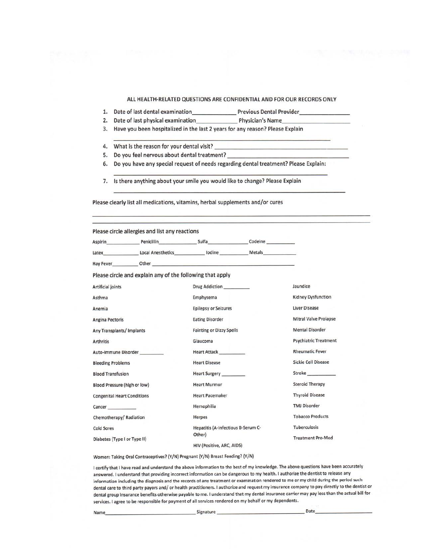#### ALL HEALTH-RELATED QUESTIONS ARE CONFIDENTIAL AND FOR OUR RECORDS ONLY

Previous Dental Provider

- 1. Date of last dental examination\_
- 2. Date of last physical examination Physician's Name
- 3. Have you been hospitalized in the last 2 years for any reason? Please Explain
- 4. What is the reason for your dental visit?
- 5. Do you feel nervous about dental treatment?
- 6. Do you have any special request of needs regarding dental treatment? Please Explain:
- 7. Is there anything about your smile you would like to change? Please Explain

Please clearly list all medications, vitamins, herbal supplements and/or cures

|                                    | Please circle allergies and list any reactions            |                                                                                                                                                                                                                               |                              |  |
|------------------------------------|-----------------------------------------------------------|-------------------------------------------------------------------------------------------------------------------------------------------------------------------------------------------------------------------------------|------------------------------|--|
|                                    |                                                           | Aspirin Penicillin Sulfa Codeine                                                                                                                                                                                              |                              |  |
|                                    |                                                           | Latex_________________Local Anesthetics______________ lodine ____________________ Metals____________                                                                                                                          |                              |  |
|                                    |                                                           | Hay Fever Other Other Changes and Changes and Changes of the Changes of the Changes of the Changes of the Changes of the Changes of the Changes of the Changes of the Changes of the Changes of the Changes of the Changes of |                              |  |
|                                    | Please circle and explain any of the following that apply |                                                                                                                                                                                                                               |                              |  |
| <b>Artificial joints</b>           |                                                           | Drug Addiction                                                                                                                                                                                                                | Jaundice                     |  |
| Asthma                             |                                                           | Emphysema                                                                                                                                                                                                                     | <b>Kidney Dysfunction</b>    |  |
| Anemia                             |                                                           | <b>Epilepsy or Seizures</b>                                                                                                                                                                                                   | <b>Liver Disease</b>         |  |
| <b>Angina Pectoris</b>             |                                                           | <b>Eating Disorder</b>                                                                                                                                                                                                        | <b>Mitral Valve Prolapse</b> |  |
| Any Transplants/Implants           |                                                           | <b>Fainting or Dizzy Spells</b>                                                                                                                                                                                               | <b>Mental Disorder</b>       |  |
| <b>Arthritis</b>                   |                                                           | Glaucoma                                                                                                                                                                                                                      | <b>Psychiatric Treatment</b> |  |
|                                    | Auto-Immune Disorder                                      | <b>Heart Attack</b>                                                                                                                                                                                                           | <b>Rheumatic Fever</b>       |  |
| <b>Bleeding Problems</b>           |                                                           | <b>Heart Disease</b>                                                                                                                                                                                                          | <b>Sickie Cell Disease</b>   |  |
| <b>Blood Transfusion</b>           |                                                           | Heart Surgery ________                                                                                                                                                                                                        | Stroke                       |  |
| Blood Pressure (high or low)       |                                                           | <b>Heart Murmur</b>                                                                                                                                                                                                           | <b>Steroid Therapy</b>       |  |
| <b>Congenital Heart Conditions</b> |                                                           | <b>Heart Pacemaker</b>                                                                                                                                                                                                        | <b>Thyroid Disease</b>       |  |
| Cancer <b>Cancer</b>               |                                                           | Hemophilia                                                                                                                                                                                                                    | <b>TMJ Disorder</b>          |  |
| Chemotherapy/Radiation             |                                                           | Herpes                                                                                                                                                                                                                        | <b>Tobacco Products</b>      |  |
| <b>Cold Sores</b>                  |                                                           | Hepatitis (A-Infectious B-Serum C-                                                                                                                                                                                            | <b>Tuberculosis</b>          |  |
| Diabetes (Type I or Type II)       |                                                           | Other)<br>HIV (Positive ARC AIDS)                                                                                                                                                                                             | <b>Treatment Pre-Med</b>     |  |

Women: Taking Oral Contraceptives? (Y/N) Pregnant (Y/N) Breast Feeding? (Y/N)

I certify that I have read and understand the above information to the best of my knowledge. The above questions have been accurately answered. I understand that providing incorrect information can be dangerous to my health. I authorize the dentist to release any information including the diagnosis and the records of any treatment or examination rendered to me or my child during the period such dental care to third party payors and/ or health practitioners. I authorize and request my insurance company to pay directly to the dentist or dental group insurance benefits otherwise payable to me. I understand that my dental insurance carrier may pay less than the actual bill for services. I agree to be responsible for payment of all services rendered on my behalf or my dependents.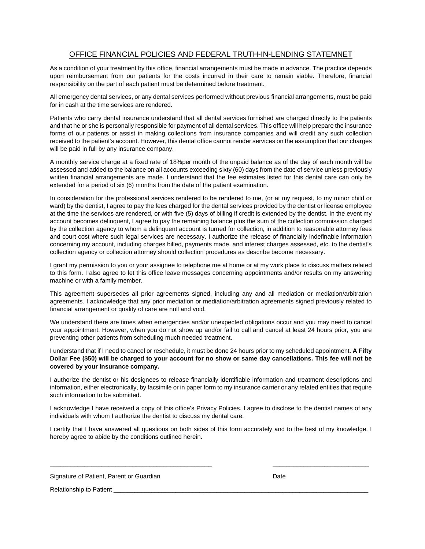## OFFICE FINANCIAL POLICIES AND FEDERAL TRUTH-IN-LENDING STATEMNET

As a condition of your treatment by this office, financial arrangements must be made in advance. The practice depends upon reimbursement from our patients for the costs incurred in their care to remain viable. Therefore, financial responsibility on the part of each patient must be determined before treatment.

All emergency dental services, or any dental services performed without previous financial arrangements, must be paid for in cash at the time services are rendered.

Patients who carry dental insurance understand that all dental services furnished are charged directly to the patients and that he or she is personally responsible for payment of all dental services. This office will help prepare the insurance forms of our patients or assist in making collections from insurance companies and will credit any such collection received to the patient's account. However, this dental office cannot render services on the assumption that our charges will be paid in full by any insurance company.

A monthly service charge at a fixed rate of 18%per month of the unpaid balance as of the day of each month will be assessed and added to the balance on all accounts exceeding sixty (60) days from the date of service unless previously written financial arrangements are made. I understand that the fee estimates listed for this dental care can only be extended for a period of six (6) months from the date of the patient examination.

In consideration for the professional services rendered to be rendered to me, (or at my request, to my minor child or ward) by the dentist, I agree to pay the fees charged for the dental services provided by the dentist or license employee at the time the services are rendered, or with five (5) days of billing if credit is extended by the dentist. In the event my account becomes delinquent, I agree to pay the remaining balance plus the sum of the collection commission charged by the collection agency to whom a delinquent account is turned for collection, in addition to reasonable attorney fees and court cost where such legal services are necessary. I authorize the release of financially indefinable information concerning my account, including charges billed, payments made, and interest charges assessed, etc. to the dentist's collection agency or collection attorney should collection procedures as describe become necessary.

I grant my permission to you or your assignee to telephone me at home or at my work place to discuss matters related to this form. I also agree to let this office leave messages concerning appointments and/or results on my answering machine or with a family member.

This agreement supersedes all prior agreements signed, including any and all mediation or mediation/arbitration agreements. I acknowledge that any prior mediation or mediation/arbitration agreements signed previously related to financial arrangement or quality of care are null and void.

We understand there are times when emergencies and/or unexpected obligations occur and you may need to cancel your appointment. However, when you do not show up and/or fail to call and cancel at least 24 hours prior, you are preventing other patients from scheduling much needed treatment.

I understand that if I need to cancel or reschedule, it must be done 24 hours prior to my scheduled appointment. **A Fifty Dollar Fee (\$50) will be charged to your account for no show or same day cancellations. This fee will not be covered by your insurance company.** 

I authorize the dentist or his designees to release financially identifiable information and treatment descriptions and information, either electronically, by facsimile or in paper form to my insurance carrier or any related entities that require such information to be submitted.

I acknowledge I have received a copy of this office's Privacy Policies. I agree to disclose to the dentist names of any individuals with whom I authorize the dentist to discuss my dental care.

I certify that I have answered all questions on both sides of this form accurately and to the best of my knowledge. I hereby agree to abide by the conditions outlined herein.

\_\_\_\_\_\_\_\_\_\_\_\_\_\_\_\_\_\_\_\_\_\_\_\_\_\_\_\_\_\_\_\_\_\_\_\_\_\_\_\_\_\_\_\_\_\_\_ \_\_\_\_\_\_\_\_\_\_\_\_\_\_\_\_\_\_\_\_\_\_\_\_\_\_\_\_

Signature of Patient, Parent or Guardian Date Date Date

Relationship to Patient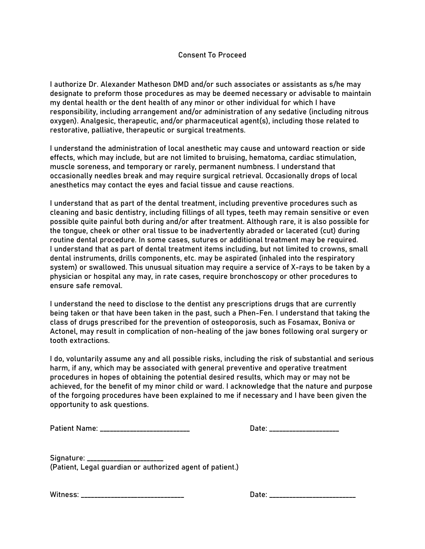I authorize Dr. Alexander Matheson DMD and/or such associates or assistants as s/he may designate to preform those procedures as may be deemed necessary or advisable to maintain my dental health or the dent health of any minor or other individual for which I have responsibility, including arrangement and/or administration of any sedative (including nitrous oxygen). Analgesic, therapeutic, and/or pharmaceutical agent(s), including those related to restorative, palliative, therapeutic or surgical treatments.

I understand the administration of local anesthetic may cause and untoward reaction or side effects, which may include, but are not limited to bruising, hematoma, cardiac stimulation, muscle soreness, and temporary or rarely, permanent numbness. I understand that occasionally needles break and may require surgical retrieval. Occasionally drops of local anesthetics may contact the eyes and facial tissue and cause reactions.

I understand that as part of the dental treatment, including preventive procedures such as cleaning and basic dentistry, including fillings of all types, teeth may remain sensitive or even possible quite painful both during and/or after treatment. Although rare, it is also possible for the tongue, cheek or other oral tissue to be inadvertently abraded or lacerated (cut) during routine dental procedure. In some cases, sutures or additional treatment may be required. I understand that as part of dental treatment items including, but not limited to crowns, small dental instruments, drills components, etc. may be aspirated (inhaled into the respiratory system) or swallowed. This unusual situation may require a service of X-rays to be taken by a physician or hospital any may, in rate cases, require bronchoscopy or other procedures to ensure safe removal.

I understand the need to disclose to the dentist any prescriptions drugs that are currently being taken or that have been taken in the past, such a Phen-Fen. I understand that taking the class of drugs prescribed for the prevention of osteoporosis, such as Fosamax, Boniva or Actonel, may result in complication of non-healing of the jaw bones following oral surgery or tooth extractions.

I do, voluntarily assume any and all possible risks, including the risk of substantial and serious harm, if any, which may be associated with general preventive and operative treatment procedures in hopes of obtaining the potential desired results, which may or may not be achieved, for the benefit of my minor child or ward. I acknowledge that the nature and purpose of the forgoing procedures have been explained to me if necessary and I have been given the opportunity to ask questions.

Patient Name: \_\_\_\_\_\_\_\_\_\_\_\_\_\_\_\_\_\_\_\_\_\_\_\_\_\_\_ Date: \_\_\_\_\_\_\_\_\_\_\_\_\_\_\_\_\_\_\_\_\_

Signature: \_\_\_\_\_\_\_\_\_ (Patient, Legal guardian or authorized agent of patient.)

Witness: \_\_\_\_\_\_\_\_\_\_\_\_\_\_\_\_\_\_\_\_\_\_\_\_\_\_\_\_\_\_\_ Date: \_\_\_\_\_\_\_\_\_\_\_\_\_\_\_\_\_\_\_\_\_\_\_\_\_\_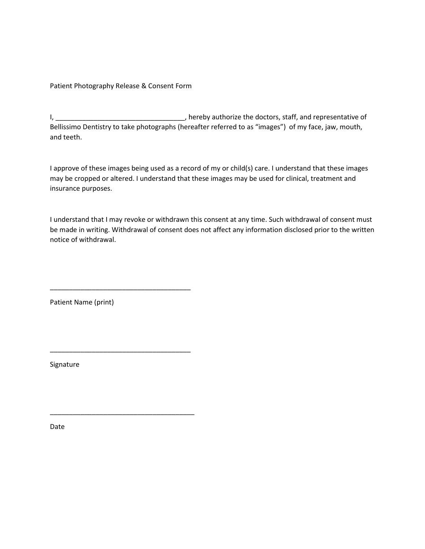Patient Photography Release & Consent Form

\_\_\_\_\_\_\_\_\_\_\_\_\_\_\_\_\_\_\_\_\_\_\_\_\_\_\_\_\_\_\_\_\_\_\_\_\_

\_\_\_\_\_\_\_\_\_\_\_\_\_\_\_\_\_\_\_\_\_\_\_\_\_\_\_\_\_\_\_\_\_\_\_\_\_

\_\_\_\_\_\_\_\_\_\_\_\_\_\_\_\_\_\_\_\_\_\_\_\_\_\_\_\_\_\_\_\_\_\_\_\_\_\_

I, \_\_\_\_\_\_\_\_\_\_\_\_\_\_\_\_\_\_\_\_\_\_\_\_\_\_\_\_\_\_\_\_\_\_, hereby authorize the doctors, staff, and representative of Bellissimo Dentistry to take photographs (hereafter referred to as "images") of my face, jaw, mouth, and teeth.

I approve of these images being used as a record of my or child(s) care. I understand that these images may be cropped or altered. I understand that these images may be used for clinical, treatment and insurance purposes.

I understand that I may revoke or withdrawn this consent at any time. Such withdrawal of consent must be made in writing. Withdrawal of consent does not affect any information disclosed prior to the written notice of withdrawal.

Patient Name (print)

Signature

Date